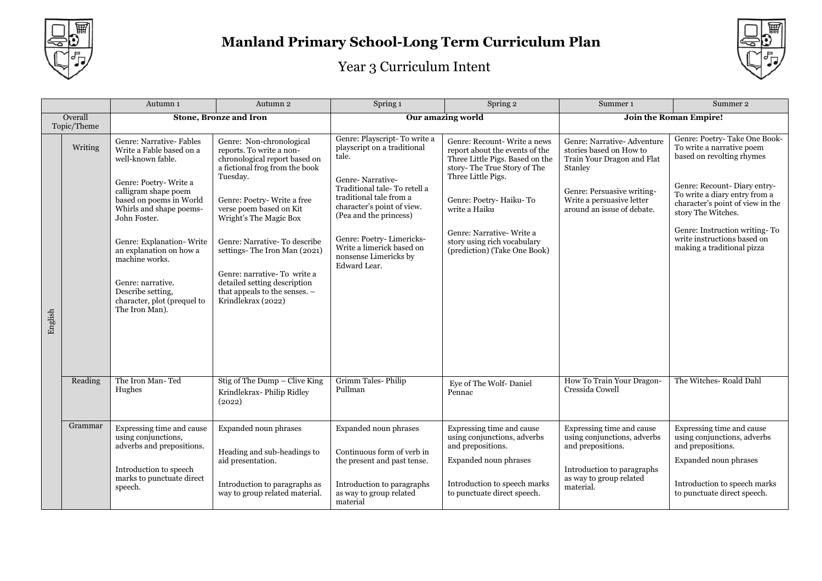



|                        |         | Autumn 1                                                                                                                                                                                                                                                                                                                                                             | Autumn 2                                                                                                                                                                                                                                                                                                                                                                                                     | Spring 1                                                                                                                                                                                                                                                                                                      | Spring 2                                                                                                                                                                                                                                                                                      | Summer <sub>1</sub>                                                                                                                                                                      | Summer 2                                                                                                                                                                                                                                                                                                       |
|------------------------|---------|----------------------------------------------------------------------------------------------------------------------------------------------------------------------------------------------------------------------------------------------------------------------------------------------------------------------------------------------------------------------|--------------------------------------------------------------------------------------------------------------------------------------------------------------------------------------------------------------------------------------------------------------------------------------------------------------------------------------------------------------------------------------------------------------|---------------------------------------------------------------------------------------------------------------------------------------------------------------------------------------------------------------------------------------------------------------------------------------------------------------|-----------------------------------------------------------------------------------------------------------------------------------------------------------------------------------------------------------------------------------------------------------------------------------------------|------------------------------------------------------------------------------------------------------------------------------------------------------------------------------------------|----------------------------------------------------------------------------------------------------------------------------------------------------------------------------------------------------------------------------------------------------------------------------------------------------------------|
| Overall<br>Topic/Theme |         |                                                                                                                                                                                                                                                                                                                                                                      | <b>Stone, Bronze and Iron</b>                                                                                                                                                                                                                                                                                                                                                                                | Our amazing world                                                                                                                                                                                                                                                                                             |                                                                                                                                                                                                                                                                                               | Join the Roman Empire!                                                                                                                                                                   |                                                                                                                                                                                                                                                                                                                |
| English                | Writing | Genre: Narrative- Fables<br>Write a Fable based on a<br>well-known fable.<br>Genre: Poetry-Write a<br>calligram shape poem<br>based on poems in World<br>Whirls and shape poems-<br>John Foster.<br>Genre: Explanation-Write<br>an explanation on how a<br>machine works.<br>Genre: narrative.<br>Describe setting,<br>character, plot (prequel to<br>The Iron Man). | Genre: Non-chronological<br>reports. To write a non-<br>chronological report based on<br>a fictional frog from the book<br>Tuesday.<br>Genre: Poetry-Write a free<br>verse poem based on Kit<br>Wright's The Magic Box<br>Genre: Narrative-To describe<br>settings-The Iron Man (2021)<br>Genre: narrative-To write a<br>detailed setting description<br>that appeals to the senses. -<br>Krindlekrax (2022) | Genre: Playscript-To write a<br>playscript on a traditional<br>tale.<br>Genre-Narrative-<br>Traditional tale-To retell a<br>traditional tale from a<br>character's point of view.<br>(Pea and the princess)<br>Genre: Poetry-Limericks-<br>Write a limerick based on<br>nonsense Limericks by<br>Edward Lear. | Genre: Recount- Write a news<br>report about the events of the<br>Three Little Pigs. Based on the<br>story-The True Story of The<br>Three Little Pigs.<br>Genre: Poetry- Haiku-To<br>write a Haiku<br>Genre: Narrative-Write a<br>story using rich vocabulary<br>(prediction) (Take One Book) | Genre: Narrative- Adventure<br>stories based on How to<br>Train Your Dragon and Flat<br>Stanley<br>Genre: Persuasive writing-<br>Write a persuasive letter<br>around an issue of debate. | Genre: Poetry-Take One Book-<br>To write a narrative poem<br>based on revolting rhymes<br>Genre: Recount-Diary entry-<br>To write a diary entry from a<br>character's point of view in the<br>story The Witches.<br>Genre: Instruction writing-To<br>write instructions based on<br>making a traditional pizza |
|                        | Reading | The Iron Man-Ted<br>Hughes                                                                                                                                                                                                                                                                                                                                           | Stig of The Dump - Clive King<br>Krindlekrax-Philip Ridley<br>(2022)                                                                                                                                                                                                                                                                                                                                         | Grimm Tales-Philip<br>Pullman                                                                                                                                                                                                                                                                                 | Eye of The Wolf- Daniel<br>Pennac                                                                                                                                                                                                                                                             | How To Train Your Dragon-<br>Cressida Cowell                                                                                                                                             | The Witches- Roald Dahl                                                                                                                                                                                                                                                                                        |
|                        | Grammar | Expressing time and cause<br>using conjunctions,<br>adverbs and prepositions.<br>Introduction to speech<br>marks to punctuate direct<br>speech.                                                                                                                                                                                                                      | Expanded noun phrases<br>Heading and sub-headings to<br>aid presentation.<br>Introduction to paragraphs as<br>way to group related material.                                                                                                                                                                                                                                                                 | Expanded noun phrases<br>Continuous form of verb in<br>the present and past tense.<br>Introduction to paragraphs<br>as way to group related<br>material                                                                                                                                                       | Expressing time and cause<br>using conjunctions, adverbs<br>and prepositions.<br>Expanded noun phrases<br>Introduction to speech marks<br>to punctuate direct speech.                                                                                                                         | Expressing time and cause<br>using conjunctions, adverbs<br>and prepositions.<br>Introduction to paragraphs<br>as way to group related<br>material.                                      | Expressing time and cause<br>using conjunctions, adverbs<br>and prepositions.<br>Expanded noun phrases<br>Introduction to speech marks<br>to punctuate direct speech.                                                                                                                                          |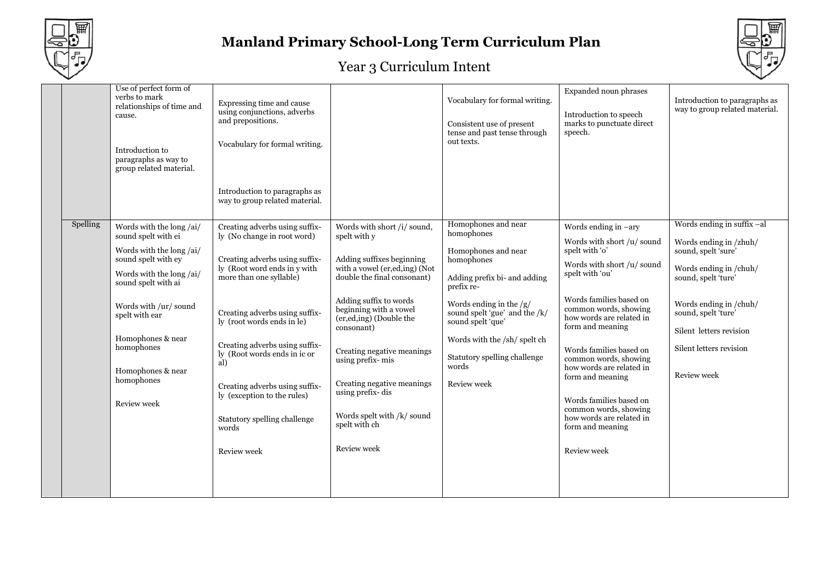



| Expanded noun phrases<br>verbs to mark<br>Vocabulary for formal writing.<br>Expressing time and cause<br>relationships of time and<br>using conjunctions, adverbs<br>Introduction to speech<br>cause.<br>and prepositions.<br>marks to punctuate direct<br>Consistent use of present<br>tense and past tense through<br>speech.<br>out texts.<br>Vocabulary for formal writing.<br>Introduction to<br>paragraphs as way to<br>group related material.<br>Introduction to paragraphs as<br>way to group related material.<br>Homophones and near<br>Words ending in suffix -al<br>Spelling<br>Words with short /i/ sound,<br>Words with the long /ai/<br>Creating adverbs using suffix-<br>Words ending in $-ary$<br>homophones<br>sound spelt with ei<br>ly (No change in root word)<br>spelt with y<br>Words with short /u/ sound<br>Words ending in /zhuh/<br>spelt with 'o'<br>Words with the long /ai/<br>sound, spelt 'sure'<br>Homophones and near<br>Creating adverbs using suffix-<br>Adding suffixes beginning<br>sound spelt with ey<br>homophones<br>Words with short /u/ sound<br>with a vowel (er, ed, ing) (Not<br>ly (Root word ends in y with<br>Words ending in /chuh/<br>Words with the long /ai/<br>spelt with 'ou'<br>more than one syllable)<br>double the final consonant)<br>sound, spelt 'ture'<br>Adding prefix bi- and adding<br>sound spelt with ai<br>prefix re-<br>Words families based on<br>Adding suffix to words<br>Words ending in the $/g/$<br>Words ending in /chuh/<br>Words with /ur/ sound<br>common words, showing<br>beginning with a vowel<br>Creating adverbs using suffix-<br>sound spelt 'gue' and the /k/<br>sound, spelt 'ture'<br>spelt with ear<br>how words are related in<br>(er,ed,ing) (Double the<br>sound spelt 'que'<br>ly (root words ends in le)<br>form and meaning<br>consonant)<br>Silent letters revision<br>Homophones & near<br>Words with the /sh/ spelt ch<br>Creating adverbs using suffix-<br>homophones<br>Silent letters revision<br>Words families based on<br>Creating negative meanings<br>ly (Root words ends in ic or<br>Statutory spelling challenge<br>common words, showing<br>using prefix-mis<br>al)<br>words<br>how words are related in<br>Homophones & near<br>Review week<br>form and meaning<br>homophones<br>Creating negative meanings<br>Review week<br>Creating adverbs using suffix-<br>using prefix-dis<br>ly (exception to the rules)<br>Words families based on<br>Review week<br>common words, showing<br>Words spelt with /k/ sound<br>how words are related in<br>Statutory spelling challenge<br>spelt with ch<br>form and meaning<br>words<br>Review week<br>Review week<br>Review week |  |                        |  |  |                                                                 |
|-------------------------------------------------------------------------------------------------------------------------------------------------------------------------------------------------------------------------------------------------------------------------------------------------------------------------------------------------------------------------------------------------------------------------------------------------------------------------------------------------------------------------------------------------------------------------------------------------------------------------------------------------------------------------------------------------------------------------------------------------------------------------------------------------------------------------------------------------------------------------------------------------------------------------------------------------------------------------------------------------------------------------------------------------------------------------------------------------------------------------------------------------------------------------------------------------------------------------------------------------------------------------------------------------------------------------------------------------------------------------------------------------------------------------------------------------------------------------------------------------------------------------------------------------------------------------------------------------------------------------------------------------------------------------------------------------------------------------------------------------------------------------------------------------------------------------------------------------------------------------------------------------------------------------------------------------------------------------------------------------------------------------------------------------------------------------------------------------------------------------------------------------------------------------------------------------------------------------------------------------------------------------------------------------------------------------------------------------------------------------------------------------------------------------------------------------------------------------------------------------------------------------------------------------------------------------------------------------------------------------------------------------------------------------------------------|--|------------------------|--|--|-----------------------------------------------------------------|
|                                                                                                                                                                                                                                                                                                                                                                                                                                                                                                                                                                                                                                                                                                                                                                                                                                                                                                                                                                                                                                                                                                                                                                                                                                                                                                                                                                                                                                                                                                                                                                                                                                                                                                                                                                                                                                                                                                                                                                                                                                                                                                                                                                                                                                                                                                                                                                                                                                                                                                                                                                                                                                                                                           |  | Use of perfect form of |  |  | Introduction to paragraphs as<br>way to group related material. |
|                                                                                                                                                                                                                                                                                                                                                                                                                                                                                                                                                                                                                                                                                                                                                                                                                                                                                                                                                                                                                                                                                                                                                                                                                                                                                                                                                                                                                                                                                                                                                                                                                                                                                                                                                                                                                                                                                                                                                                                                                                                                                                                                                                                                                                                                                                                                                                                                                                                                                                                                                                                                                                                                                           |  |                        |  |  |                                                                 |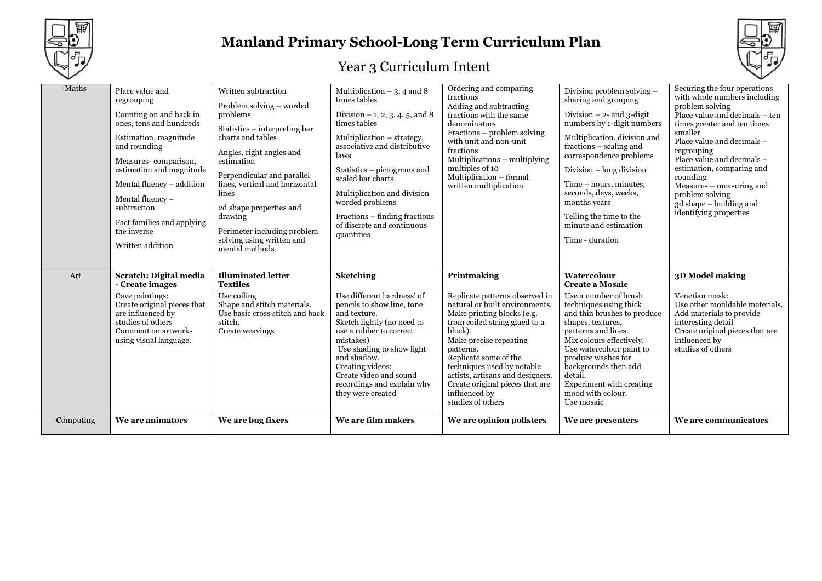



| Maths     | Place value and<br>regrouping<br>Counting on and back in<br>ones, tens and hundreds<br>Estimation, magnitude<br>and rounding<br>Measures-comparison,<br>estimation and magnitude<br>Mental fluency – addition<br>Mental fluency -<br>subtraction<br>Fact families and applying<br>the inverse<br>Written addition | Written subtraction<br>Problem solving - worded<br>problems<br>Statistics – interpreting bar<br>charts and tables<br>Angles, right angles and<br>estimation<br>Perpendicular and parallel<br>lines, vertical and horizontal<br>lines<br>2d shape properties and<br>drawing<br>Perimeter including problem<br>solving using written and<br>mental methods | Multiplication $-3$ , 4 and 8<br>times tables<br>Division $-1$ , 2, 3, 4, 5, and 8<br>times tables<br>Multiplication - strategy,<br>associative and distributive<br>laws<br>Statistics – pictograms and<br>scaled bar charts<br>Multiplication and division<br>worded problems<br>Fractions – finding fractions<br>of discrete and continuous<br>quantities | Ordering and comparing<br>fractions<br>Adding and subtracting<br>fractions with the same<br>denominators<br>Fractions – problem solving<br>with unit and non-unit<br>fractions<br>Multiplications - multiplying<br>multiples of 10<br>Multiplication - formal<br>written multiplication                                                                              | Division problem solving -<br>sharing and grouping<br>Division $-2$ - and 3-digit<br>numbers by 1-digit numbers<br>Multiplication, division and<br>fractions – scaling and<br>correspondence problems<br>Division $-$ long division<br>Time - hours, minutes,<br>seconds, days, weeks,<br>months years<br>Telling the time to the<br>minute and estimation<br>Time - duration | Securing the four operations<br>with whole numbers including<br>problem solving<br>Place value and decimals - ten<br>times greater and ten times<br>smaller<br>Place value and decimals -<br>regrouping<br>Place value and decimals -<br>estimation, comparing and<br>rounding<br>Measures – measuring and<br>problem solving<br>3d shape – building and<br>identifying properties |
|-----------|-------------------------------------------------------------------------------------------------------------------------------------------------------------------------------------------------------------------------------------------------------------------------------------------------------------------|----------------------------------------------------------------------------------------------------------------------------------------------------------------------------------------------------------------------------------------------------------------------------------------------------------------------------------------------------------|-------------------------------------------------------------------------------------------------------------------------------------------------------------------------------------------------------------------------------------------------------------------------------------------------------------------------------------------------------------|----------------------------------------------------------------------------------------------------------------------------------------------------------------------------------------------------------------------------------------------------------------------------------------------------------------------------------------------------------------------|-------------------------------------------------------------------------------------------------------------------------------------------------------------------------------------------------------------------------------------------------------------------------------------------------------------------------------------------------------------------------------|------------------------------------------------------------------------------------------------------------------------------------------------------------------------------------------------------------------------------------------------------------------------------------------------------------------------------------------------------------------------------------|
| Art       | Scratch: Digital media<br>- Create images<br>Cave paintings:<br>Create original pieces that<br>are influenced by<br>studies of others<br>Comment on artworks<br>using visual language.                                                                                                                            | <b>Illuminated letter</b><br><b>Textiles</b><br>Use coiling<br>Shape and stitch materials.<br>Use basic cross stitch and back<br>stitch.<br>Create weavings                                                                                                                                                                                              | <b>Sketching</b><br>Use different hardness' of<br>pencils to show line, tone<br>and texture.<br>Sketch lightly (no need to<br>use a rubber to correct<br>mistakes)<br>Use shading to show light<br>and shadow.<br>Creating videos:<br>Create video and sound<br>recordings and explain why<br>they were created                                             | Printmaking<br>Replicate patterns observed in<br>natural or built environments.<br>Make printing blocks (e.g.<br>from coiled string glued to a<br>block).<br>Make precise repeating<br>patterns.<br>Replicate some of the<br>techniques used by notable<br>artists, artisans and designers.<br>Create original pieces that are<br>influenced by<br>studies of others | Watercolour<br><b>Create a Mosaic</b><br>Use a number of brush<br>techniques using thick<br>and thin brushes to produce<br>shapes, textures,<br>patterns and lines.<br>Mix colours effectively.<br>Use watercolour paint to<br>produce washes for<br>backgrounds then add<br>detail.<br>Experiment with creating<br>mood with colour.<br>Use mosaic                           | 3D Model making<br>Venetian mask:<br>Use other mouldable materials.<br>Add materials to provide<br>interesting detail<br>Create original pieces that are<br>influenced by<br>studies of others                                                                                                                                                                                     |
| Computing | We are animators                                                                                                                                                                                                                                                                                                  | We are bug fixers                                                                                                                                                                                                                                                                                                                                        | We are film makers                                                                                                                                                                                                                                                                                                                                          | We are opinion pollsters                                                                                                                                                                                                                                                                                                                                             | We are presenters                                                                                                                                                                                                                                                                                                                                                             | We are communicators                                                                                                                                                                                                                                                                                                                                                               |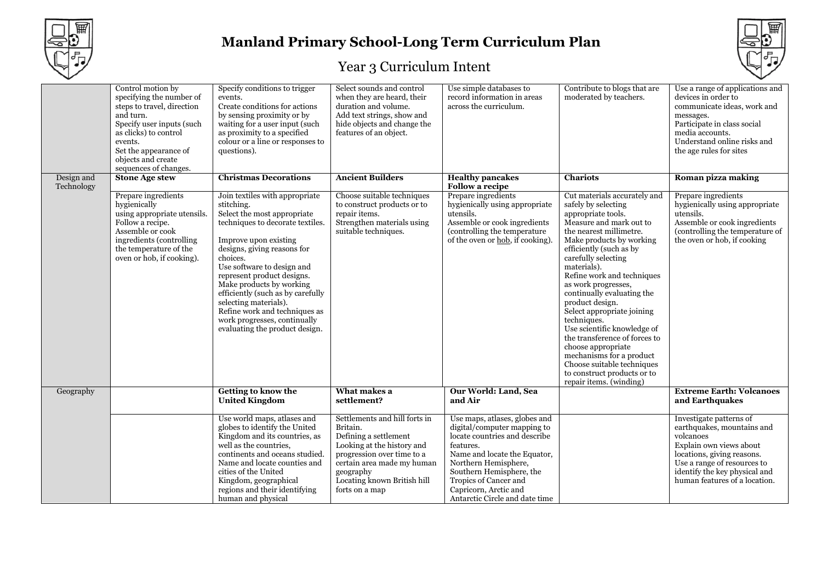



|                          | Control motion by<br>specifying the number of<br>steps to travel, direction<br>and turn.<br>Specify user inputs (such<br>as clicks) to control<br>events.<br>Set the appearance of<br>objects and create<br>sequences of changes. | Specify conditions to trigger<br>events.<br>Create conditions for actions<br>by sensing proximity or by<br>waiting for a user input (such<br>as proximity to a specified<br>colour or a line or responses to<br>questions).                                                                                                                                                                                                                  | Select sounds and control<br>when they are heard, their<br>duration and volume.<br>Add text strings, show and<br>hide objects and change the<br>features of an object.                                                     | Use simple databases to<br>record information in areas<br>across the curriculum.                                                                                                                                                                                                   | Contribute to blogs that are<br>moderated by teachers.                                                                                                                                                                                                                                                                                                                                                                                                                                                                                                                                    | Use a range of applications and<br>devices in order to<br>communicate ideas, work and<br>messages.<br>Participate in class social<br>media accounts.<br>Understand online risks and<br>the age rules for sites               |
|--------------------------|-----------------------------------------------------------------------------------------------------------------------------------------------------------------------------------------------------------------------------------|----------------------------------------------------------------------------------------------------------------------------------------------------------------------------------------------------------------------------------------------------------------------------------------------------------------------------------------------------------------------------------------------------------------------------------------------|----------------------------------------------------------------------------------------------------------------------------------------------------------------------------------------------------------------------------|------------------------------------------------------------------------------------------------------------------------------------------------------------------------------------------------------------------------------------------------------------------------------------|-------------------------------------------------------------------------------------------------------------------------------------------------------------------------------------------------------------------------------------------------------------------------------------------------------------------------------------------------------------------------------------------------------------------------------------------------------------------------------------------------------------------------------------------------------------------------------------------|------------------------------------------------------------------------------------------------------------------------------------------------------------------------------------------------------------------------------|
| Design and<br>Technology | <b>Stone Age stew</b>                                                                                                                                                                                                             | <b>Christmas Decorations</b>                                                                                                                                                                                                                                                                                                                                                                                                                 | <b>Ancient Builders</b>                                                                                                                                                                                                    | <b>Healthy pancakes</b><br><b>Follow a recipe</b>                                                                                                                                                                                                                                  | <b>Chariots</b>                                                                                                                                                                                                                                                                                                                                                                                                                                                                                                                                                                           | Roman pizza making                                                                                                                                                                                                           |
|                          | Prepare ingredients<br>hygienically<br>using appropriate utensils.<br>Follow a recipe.<br>Assemble or cook<br>ingredients (controlling<br>the temperature of the<br>oven or hob, if cooking).                                     | Join textiles with appropriate<br>stitching.<br>Select the most appropriate<br>techniques to decorate textiles.<br>Improve upon existing<br>designs, giving reasons for<br>choices.<br>Use software to design and<br>represent product designs.<br>Make products by working<br>efficiently (such as by carefully<br>selecting materials).<br>Refine work and techniques as<br>work progresses, continually<br>evaluating the product design. | Choose suitable techniques<br>to construct products or to<br>repair items.<br>Strengthen materials using<br>suitable techniques.                                                                                           | Prepare ingredients<br>hygienically using appropriate<br>utensils.<br>Assemble or cook ingredients<br>(controlling the temperature<br>of the oven or <u>hob</u> , if cooking)                                                                                                      | Cut materials accurately and<br>safely by selecting<br>appropriate tools.<br>Measure and mark out to<br>the nearest millimetre.<br>Make products by working<br>efficiently (such as by<br>carefully selecting<br>materials).<br>Refine work and techniques<br>as work progresses,<br>continually evaluating the<br>product design.<br>Select appropriate joining<br>techniques.<br>Use scientific knowledge of<br>the transference of forces to<br>choose appropriate<br>mechanisms for a product<br>Choose suitable techniques<br>to construct products or to<br>repair items. (winding) | Prepare ingredients<br>hygienically using appropriate<br>utensils.<br>Assemble or cook ingredients<br>(controlling the temperature of<br>the oven or hob, if cooking                                                         |
| Geography                |                                                                                                                                                                                                                                   | Getting to know the<br><b>United Kingdom</b>                                                                                                                                                                                                                                                                                                                                                                                                 | What makes a<br>settlement?                                                                                                                                                                                                | Our World: Land, Sea<br>and Air                                                                                                                                                                                                                                                    |                                                                                                                                                                                                                                                                                                                                                                                                                                                                                                                                                                                           | <b>Extreme Earth: Volcanoes</b><br>and Earthquakes                                                                                                                                                                           |
|                          |                                                                                                                                                                                                                                   | Use world maps, atlases and<br>globes to identify the United<br>Kingdom and its countries, as<br>well as the countries,<br>continents and oceans studied.<br>Name and locate counties and<br>cities of the United<br>Kingdom, geographical<br>regions and their identifying<br>human and physical                                                                                                                                            | Settlements and hill forts in<br>Britain.<br>Defining a settlement<br>Looking at the history and<br>progression over time to a<br>certain area made my human<br>geography<br>Locating known British hill<br>forts on a map | Use maps, atlases, globes and<br>digital/computer mapping to<br>locate countries and describe<br>features.<br>Name and locate the Equator,<br>Northern Hemisphere,<br>Southern Hemisphere, the<br>Tropics of Cancer and<br>Capricorn, Arctic and<br>Antarctic Circle and date time |                                                                                                                                                                                                                                                                                                                                                                                                                                                                                                                                                                                           | Investigate patterns of<br>earthquakes, mountains and<br>volcanoes<br>Explain own views about<br>locations, giving reasons.<br>Use a range of resources to<br>identify the key physical and<br>human features of a location. |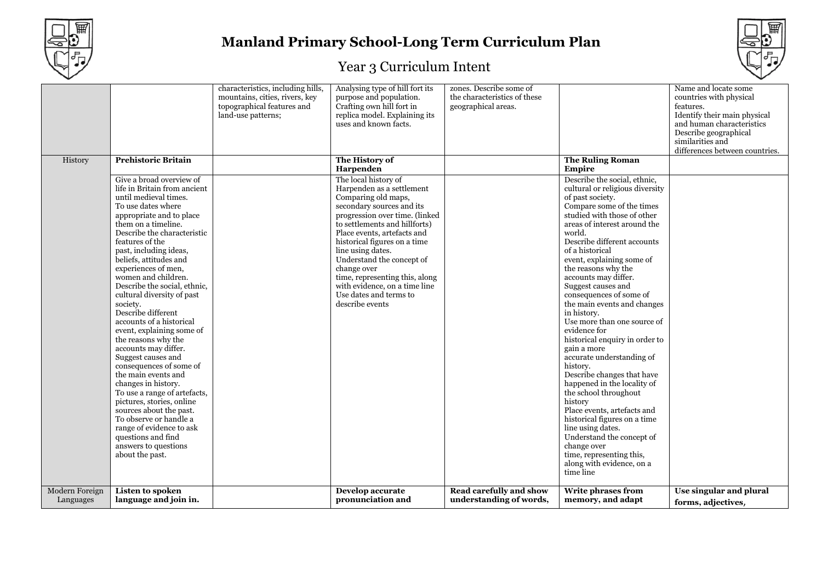



|                |                              | characteristics, including hills, | Analysing type of hill fort its | zones. Describe some of      |                                 | Name and locate some           |
|----------------|------------------------------|-----------------------------------|---------------------------------|------------------------------|---------------------------------|--------------------------------|
|                |                              | mountains, cities, rivers, key    | purpose and population.         | the characteristics of these |                                 | countries with physical        |
|                |                              | topographical features and        | Crafting own hill fort in       | geographical areas.          |                                 | features.                      |
|                |                              | land-use patterns;                | replica model. Explaining its   |                              |                                 | Identify their main physical   |
|                |                              |                                   | uses and known facts.           |                              |                                 | and human characteristics      |
|                |                              |                                   |                                 |                              |                                 | Describe geographical          |
|                |                              |                                   |                                 |                              |                                 | similarities and               |
|                |                              |                                   |                                 |                              |                                 |                                |
|                |                              |                                   |                                 |                              |                                 | differences between countries. |
| History        | <b>Prehistoric Britain</b>   |                                   | The History of                  |                              | <b>The Ruling Roman</b>         |                                |
|                |                              |                                   | Harpenden                       |                              | Empire                          |                                |
|                | Give a broad overview of     |                                   | The local history of            |                              | Describe the social, ethnic,    |                                |
|                | life in Britain from ancient |                                   | Harpenden as a settlement       |                              | cultural or religious diversity |                                |
|                | until medieval times.        |                                   | Comparing old maps,             |                              | of past society.                |                                |
|                |                              |                                   |                                 |                              |                                 |                                |
|                | To use dates where           |                                   | secondary sources and its       |                              | Compare some of the times       |                                |
|                | appropriate and to place     |                                   | progression over time. (linked  |                              | studied with those of other     |                                |
|                | them on a timeline.          |                                   | to settlements and hillforts)   |                              | areas of interest around the    |                                |
|                | Describe the characteristic  |                                   | Place events, artefacts and     |                              | world.                          |                                |
|                | features of the              |                                   | historical figures on a time    |                              | Describe different accounts     |                                |
|                | past, including ideas,       |                                   | line using dates.               |                              | of a historical                 |                                |
|                | beliefs, attitudes and       |                                   | Understand the concept of       |                              | event, explaining some of       |                                |
|                | experiences of men,          |                                   |                                 |                              |                                 |                                |
|                |                              |                                   | change over                     |                              | the reasons why the             |                                |
|                | women and children.          |                                   | time, representing this, along  |                              | accounts may differ.            |                                |
|                | Describe the social, ethnic, |                                   | with evidence, on a time line   |                              | Suggest causes and              |                                |
|                | cultural diversity of past   |                                   | Use dates and terms to          |                              | consequences of some of         |                                |
|                | society.                     |                                   | describe events                 |                              | the main events and changes     |                                |
|                | Describe different           |                                   |                                 |                              | in history.                     |                                |
|                | accounts of a historical     |                                   |                                 |                              | Use more than one source of     |                                |
|                | event, explaining some of    |                                   |                                 |                              | evidence for                    |                                |
|                |                              |                                   |                                 |                              | historical enquiry in order to  |                                |
|                | the reasons why the          |                                   |                                 |                              |                                 |                                |
|                | accounts may differ.         |                                   |                                 |                              | gain a more                     |                                |
|                | Suggest causes and           |                                   |                                 |                              | accurate understanding of       |                                |
|                | consequences of some of      |                                   |                                 |                              | history.                        |                                |
|                | the main events and          |                                   |                                 |                              | Describe changes that have      |                                |
|                | changes in history.          |                                   |                                 |                              | happened in the locality of     |                                |
|                | To use a range of artefacts, |                                   |                                 |                              | the school throughout           |                                |
|                | pictures, stories, online    |                                   |                                 |                              | history                         |                                |
|                | sources about the past.      |                                   |                                 |                              | Place events, artefacts and     |                                |
|                |                              |                                   |                                 |                              |                                 |                                |
|                | To observe or handle a       |                                   |                                 |                              | historical figures on a time    |                                |
|                | range of evidence to ask     |                                   |                                 |                              | line using dates.               |                                |
|                | questions and find           |                                   |                                 |                              | Understand the concept of       |                                |
|                | answers to questions         |                                   |                                 |                              | change over                     |                                |
|                | about the past.              |                                   |                                 |                              | time, representing this,        |                                |
|                |                              |                                   |                                 |                              | along with evidence, on a       |                                |
|                |                              |                                   |                                 |                              | time line                       |                                |
|                |                              |                                   |                                 |                              |                                 |                                |
| Modern Foreign | Listen to spoken             |                                   | Develop accurate                | Read carefully and show      | <b>Write phrases from</b>       | Use singular and plural        |
| Languages      | language and join in.        |                                   | pronunciation and               | understanding of words,      | memory, and adapt               |                                |
|                |                              |                                   |                                 |                              |                                 | forms, adjectives,             |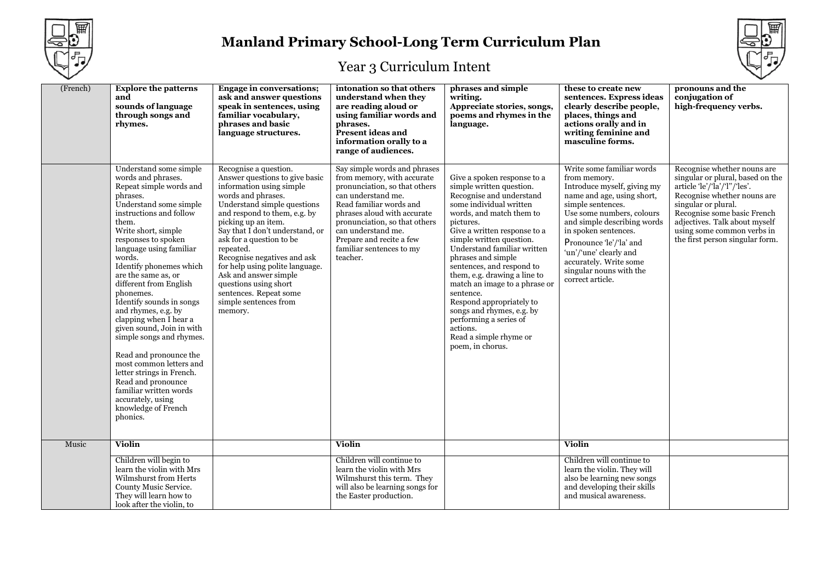



| (French) | <b>Explore the patterns</b><br>and<br>sounds of language<br>through songs and<br>rhymes.                                                                                                                                                                                                                                                                                                                                                                                                                                                                                                                                                                      | <b>Engage in conversations;</b><br>ask and answer questions<br>speak in sentences, using<br>familiar vocabulary,<br>phrases and basic<br>language structures.                                                                                                                                                                                                                                                                                                 | intonation so that others<br>understand when they<br>are reading aloud or<br>using familiar words and<br>phrases.<br><b>Present ideas and</b><br>information orally to a<br>range of audiences.                                                                                                        | phrases and simple<br>writing.<br>Appreciate stories, songs,<br>poems and rhymes in the<br>language.                                                                                                                                                                                                                                                                                                                                                                                                                             | these to create new<br>sentences. Express ideas<br>clearly describe people,<br>places, things and<br>actions orally and in<br>writing feminine and<br>masculine forms.                                                                                                                                                                        | pronouns and the<br>conjugation of<br>high-frequency verbs.                                                                                                                                                                                                                            |
|----------|---------------------------------------------------------------------------------------------------------------------------------------------------------------------------------------------------------------------------------------------------------------------------------------------------------------------------------------------------------------------------------------------------------------------------------------------------------------------------------------------------------------------------------------------------------------------------------------------------------------------------------------------------------------|---------------------------------------------------------------------------------------------------------------------------------------------------------------------------------------------------------------------------------------------------------------------------------------------------------------------------------------------------------------------------------------------------------------------------------------------------------------|--------------------------------------------------------------------------------------------------------------------------------------------------------------------------------------------------------------------------------------------------------------------------------------------------------|----------------------------------------------------------------------------------------------------------------------------------------------------------------------------------------------------------------------------------------------------------------------------------------------------------------------------------------------------------------------------------------------------------------------------------------------------------------------------------------------------------------------------------|-----------------------------------------------------------------------------------------------------------------------------------------------------------------------------------------------------------------------------------------------------------------------------------------------------------------------------------------------|----------------------------------------------------------------------------------------------------------------------------------------------------------------------------------------------------------------------------------------------------------------------------------------|
|          | Understand some simple<br>words and phrases.<br>Repeat simple words and<br>phrases.<br>Understand some simple<br>instructions and follow<br>them.<br>Write short, simple<br>responses to spoken<br>language using familiar<br>words.<br>Identify phonemes which<br>are the same as, or<br>different from English<br>phonemes.<br>Identify sounds in songs<br>and rhymes, e.g. by<br>clapping when I hear a<br>given sound, Join in with<br>simple songs and rhymes.<br>Read and pronounce the<br>most common letters and<br>letter strings in French.<br>Read and pronounce<br>familiar written words<br>accurately, using<br>knowledge of French<br>phonics. | Recognise a question.<br>Answer questions to give basic<br>information using simple<br>words and phrases.<br>Understand simple questions<br>and respond to them, e.g. by<br>picking up an item.<br>Say that I don't understand, or<br>ask for a question to be<br>repeated.<br>Recognise negatives and ask<br>for help using polite language.<br>Ask and answer simple<br>questions using short<br>sentences. Repeat some<br>simple sentences from<br>memory. | Say simple words and phrases<br>from memory, with accurate<br>pronunciation, so that others<br>can understand me.<br>Read familiar words and<br>phrases aloud with accurate<br>pronunciation, so that others<br>can understand me.<br>Prepare and recite a few<br>familiar sentences to my<br>teacher. | Give a spoken response to a<br>simple written question.<br>Recognise and understand<br>some individual written<br>words, and match them to<br>pictures.<br>Give a written response to a<br>simple written question.<br>Understand familiar written<br>phrases and simple<br>sentences, and respond to<br>them, e.g. drawing a line to<br>match an image to a phrase or<br>sentence.<br>Respond appropriately to<br>songs and rhymes, e.g. by<br>performing a series of<br>actions.<br>Read a simple rhyme or<br>poem, in chorus. | Write some familiar words<br>from memory.<br>Introduce myself, giving my<br>name and age, using short,<br>simple sentences.<br>Use some numbers, colours<br>and simple describing words<br>in spoken sentences.<br>Pronounce 'le'/'la' and<br>'un'/'une' clearly and<br>accurately. Write some<br>singular nouns with the<br>correct article. | Recognise whether nouns are<br>singular or plural, based on the<br>article 'le'/'la'/'l"/'les'.<br>Recognise whether nouns are<br>singular or plural.<br>Recognise some basic French<br>adjectives. Talk about myself<br>using some common verbs in<br>the first person singular form. |
| Music    | <b>Violin</b>                                                                                                                                                                                                                                                                                                                                                                                                                                                                                                                                                                                                                                                 |                                                                                                                                                                                                                                                                                                                                                                                                                                                               | Violin                                                                                                                                                                                                                                                                                                 |                                                                                                                                                                                                                                                                                                                                                                                                                                                                                                                                  | <b>Violin</b>                                                                                                                                                                                                                                                                                                                                 |                                                                                                                                                                                                                                                                                        |
|          | Children will begin to<br>learn the violin with Mrs<br>Wilmshurst from Herts<br>County Music Service.<br>They will learn how to<br>look after the violin, to                                                                                                                                                                                                                                                                                                                                                                                                                                                                                                  |                                                                                                                                                                                                                                                                                                                                                                                                                                                               | Children will continue to<br>learn the violin with Mrs<br>Wilmshurst this term. They<br>will also be learning songs for<br>the Easter production.                                                                                                                                                      |                                                                                                                                                                                                                                                                                                                                                                                                                                                                                                                                  | Children will continue to<br>learn the violin. They will<br>also be learning new songs<br>and developing their skills<br>and musical awareness.                                                                                                                                                                                               |                                                                                                                                                                                                                                                                                        |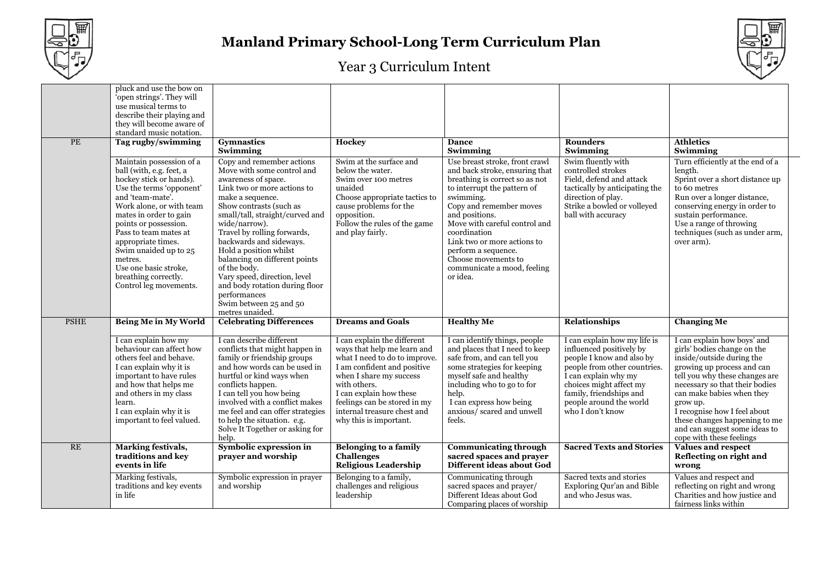



| <b>PE</b>   | pluck and use the bow on<br>'open strings'. They will<br>use musical terms to<br>describe their playing and<br>they will become aware of<br>standard music notation.<br>Tag rugby/swimming                                                                                                                                                                                   | <b>Gymnastics</b><br>Swimming                                                                                                                                                                                                                                                                                                                                                                                                                                                        | Hockey                                                                                                                                                                                                                                                                                   | <b>Dance</b><br>Swimming                                                                                                                                                                                                                                                                                                                                             | <b>Rounders</b><br>Swimming                                                                                                                                                                                                                        | <b>Athletics</b><br>Swimming                                                                                                                                                                                                                                                                                                                                     |
|-------------|------------------------------------------------------------------------------------------------------------------------------------------------------------------------------------------------------------------------------------------------------------------------------------------------------------------------------------------------------------------------------|--------------------------------------------------------------------------------------------------------------------------------------------------------------------------------------------------------------------------------------------------------------------------------------------------------------------------------------------------------------------------------------------------------------------------------------------------------------------------------------|------------------------------------------------------------------------------------------------------------------------------------------------------------------------------------------------------------------------------------------------------------------------------------------|----------------------------------------------------------------------------------------------------------------------------------------------------------------------------------------------------------------------------------------------------------------------------------------------------------------------------------------------------------------------|----------------------------------------------------------------------------------------------------------------------------------------------------------------------------------------------------------------------------------------------------|------------------------------------------------------------------------------------------------------------------------------------------------------------------------------------------------------------------------------------------------------------------------------------------------------------------------------------------------------------------|
|             | Maintain possession of a<br>ball (with, e.g. feet, a<br>hockey stick or hands).<br>Use the terms 'opponent'<br>and 'team-mate'.<br>Work alone, or with team<br>mates in order to gain<br>points or possession.<br>Pass to team mates at<br>appropriate times.<br>Swim unaided up to 25<br>metres.<br>Use one basic stroke,<br>breathing correctly.<br>Control leg movements. | Copy and remember actions<br>Move with some control and<br>awareness of space.<br>Link two or more actions to<br>make a sequence.<br>Show contrasts (such as<br>small/tall, straight/curved and<br>wide/narrow).<br>Travel by rolling forwards,<br>backwards and sideways.<br>Hold a position whilst<br>balancing on different points<br>of the body.<br>Vary speed, direction, level<br>and body rotation during floor<br>performances<br>Swim between 25 and 50<br>metres unaided. | Swim at the surface and<br>below the water.<br>Swim over 100 metres<br>unaided<br>Choose appropriate tactics to<br>cause problems for the<br>opposition.<br>Follow the rules of the game<br>and play fairly.                                                                             | Use breast stroke, front crawl<br>and back stroke, ensuring that<br>breathing is correct so as not<br>to interrupt the pattern of<br>swimming.<br>Copy and remember moves<br>and positions.<br>Move with careful control and<br>coordination<br>Link two or more actions to<br>perform a sequence.<br>Choose movements to<br>communicate a mood, feeling<br>or idea. | Swim fluently with<br>controlled strokes<br>Field, defend and attack<br>tactically by anticipating the<br>direction of play.<br>Strike a bowled or volleyed<br>ball with accuracy                                                                  | Turn efficiently at the end of a<br>length.<br>Sprint over a short distance up<br>to 60 metres<br>Run over a longer distance,<br>conserving energy in order to<br>sustain performance.<br>Use a range of throwing<br>techniques (such as under arm,<br>over arm).                                                                                                |
| <b>PSHE</b> | <b>Being Me in My World</b>                                                                                                                                                                                                                                                                                                                                                  | <b>Celebrating Differences</b>                                                                                                                                                                                                                                                                                                                                                                                                                                                       | <b>Dreams and Goals</b>                                                                                                                                                                                                                                                                  | <b>Healthy Me</b>                                                                                                                                                                                                                                                                                                                                                    | <b>Relationships</b>                                                                                                                                                                                                                               | <b>Changing Me</b>                                                                                                                                                                                                                                                                                                                                               |
|             | I can explain how my<br>behaviour can affect how<br>others feel and behave.<br>I can explain why it is<br>important to have rules<br>and how that helps me<br>and others in my class<br>learn.<br>I can explain why it is<br>important to feel valued.                                                                                                                       | I can describe different<br>conflicts that might happen in<br>family or friendship groups<br>and how words can be used in<br>hurtful or kind ways when<br>conflicts happen.<br>I can tell you how being<br>involved with a conflict makes<br>me feel and can offer strategies<br>to help the situation. e.g.<br>Solve It Together or asking for<br>help.                                                                                                                             | I can explain the different<br>ways that help me learn and<br>what I need to do to improve<br>I am confident and positive<br>when I share my success<br>with others.<br>I can explain how these<br>feelings can be stored in my<br>internal treasure chest and<br>why this is important. | I can identify things, people<br>and places that I need to keep<br>safe from, and can tell you<br>some strategies for keeping<br>myself safe and healthy<br>including who to go to for<br>help.<br>I can express how being<br>anxious/ scared and unwell<br>feels.                                                                                                   | I can explain how my life is<br>influenced positively by<br>people I know and also by<br>people from other countries.<br>I can explain why my<br>choices might affect my<br>family, friendships and<br>people around the world<br>who I don't know | I can explain how boys' and<br>girls' bodies change on the<br>inside/outside during the<br>growing up process and can<br>tell you why these changes are<br>necessary so that their bodies<br>can make babies when they<br>grow up.<br>I recognise how I feel about<br>these changes happening to me<br>and can suggest some ideas to<br>cope with these feelings |
| RE          | <b>Marking festivals,</b><br>traditions and key<br>events in life                                                                                                                                                                                                                                                                                                            | Symbolic expression in<br>prayer and worship                                                                                                                                                                                                                                                                                                                                                                                                                                         | <b>Belonging to a family</b><br><b>Challenges</b><br><b>Religious Leadership</b>                                                                                                                                                                                                         | <b>Communicating through</b><br>sacred spaces and prayer<br>Different ideas about God                                                                                                                                                                                                                                                                                | <b>Sacred Texts and Stories</b>                                                                                                                                                                                                                    | Values and respect<br>Reflecting on right and<br>wrong                                                                                                                                                                                                                                                                                                           |
|             | Marking festivals,<br>traditions and key events<br>in life                                                                                                                                                                                                                                                                                                                   | Symbolic expression in prayer<br>and worship                                                                                                                                                                                                                                                                                                                                                                                                                                         | Belonging to a family,<br>challenges and religious<br>leadership                                                                                                                                                                                                                         | Communicating through<br>sacred spaces and prayer/<br>Different Ideas about God<br>Comparing places of worship                                                                                                                                                                                                                                                       | Sacred texts and stories<br>Exploring Qur'an and Bible<br>and who Jesus was.                                                                                                                                                                       | Values and respect and<br>reflecting on right and wrong<br>Charities and how justice and<br>fairness links within                                                                                                                                                                                                                                                |